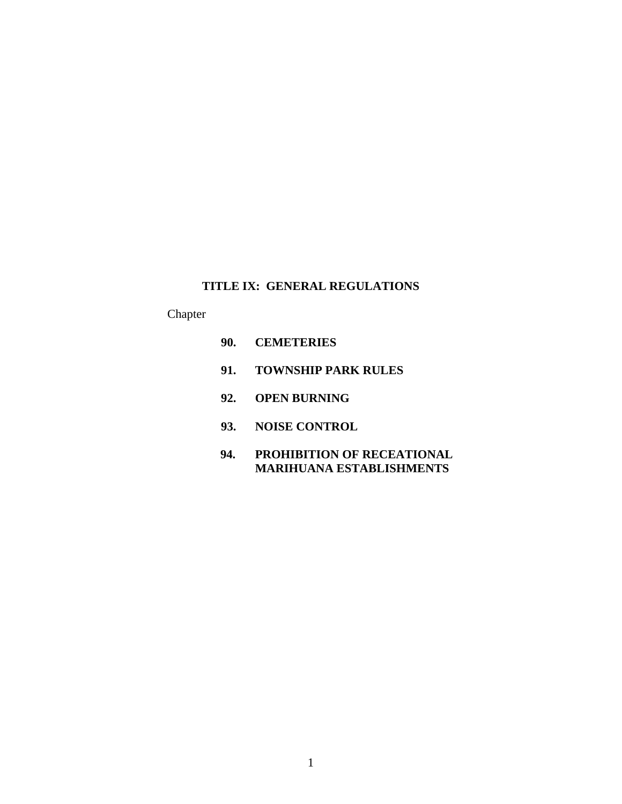# **TITLE IX: GENERAL REGULATIONS**

# Chapter

- **90. CEMETERIES**
- **91. TOWNSHIP PARK RULES**
- **92. OPEN BURNING**
- **93. NOISE CONTROL**
- **94. PROHIBITION OF RECEATIONAL MARIHUANA ESTABLISHMENTS**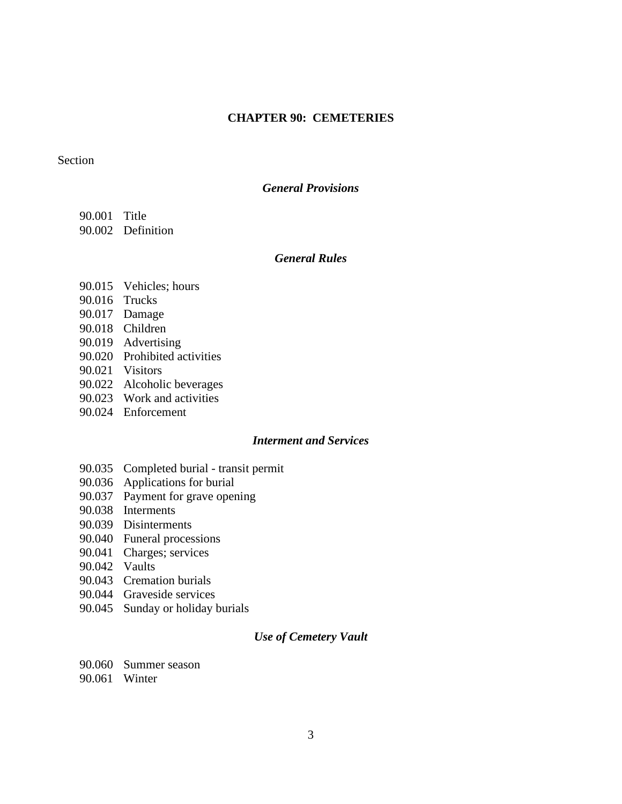## **CHAPTER 90: CEMETERIES**

### Section

#### *General Provisions*

- 90.001 Title
- 90.002 Definition

## *General Rules*

- 90.015 Vehicles; hours
- 90.016 Trucks
- 90.017 Damage
- 90.018 Children
- 90.019 Advertising
- 90.020 Prohibited activities
- 90.021 Visitors
- 90.022 Alcoholic beverages
- 90.023 Work and activities
- 90.024 Enforcement

### *Interment and Services*

- 90.035 Completed burial transit permit
- 90.036 Applications for burial
- 90.037 Payment for grave opening
- 90.038 Interments
- 90.039 Disinterments
- 90.040 Funeral processions
- 90.041 Charges; services
- 90.042 Vaults
- 90.043 Cremation burials
- 90.044 Graveside services
- 90.045 Sunday or holiday burials

## *Use of Cemetery Vault*

- 90.060 Summer season
- 90.061 Winter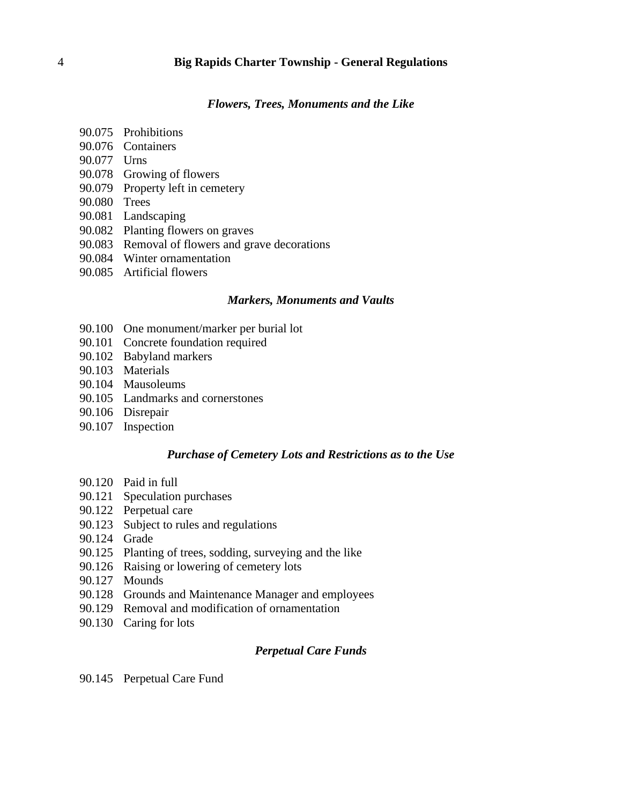*Flowers, Trees, Monuments and the Like*

- 90.075 Prohibitions
- 90.076 Containers
- 90.077 Urns
- 90.078 Growing of flowers
- 90.079 Property left in cemetery
- 90.080 Trees
- 90.081 Landscaping
- 90.082 Planting flowers on graves
- 90.083 Removal of flowers and grave decorations
- 90.084 Winter ornamentation
- 90.085 Artificial flowers

#### *Markers, Monuments and Vaults*

- 90.100 One monument/marker per burial lot
- 90.101 Concrete foundation required
- 90.102 Babyland markers
- 90.103 Materials
- 90.104 Mausoleums
- 90.105 Landmarks and cornerstones
- 90.106 Disrepair
- 90.107 Inspection

### *Purchase of Cemetery Lots and Restrictions as to the Use*

- 90.120 Paid in full
- 90.121 Speculation purchases
- 90.122 Perpetual care
- 90.123 Subject to rules and regulations
- 90.124 Grade
- 90.125 Planting of trees, sodding, surveying and the like
- 90.126 Raising or lowering of cemetery lots
- 90.127 Mounds
- 90.128 Grounds and Maintenance Manager and employees
- 90.129 Removal and modification of ornamentation
- 90.130 Caring for lots

## *Perpetual Care Funds*

90.145 Perpetual Care Fund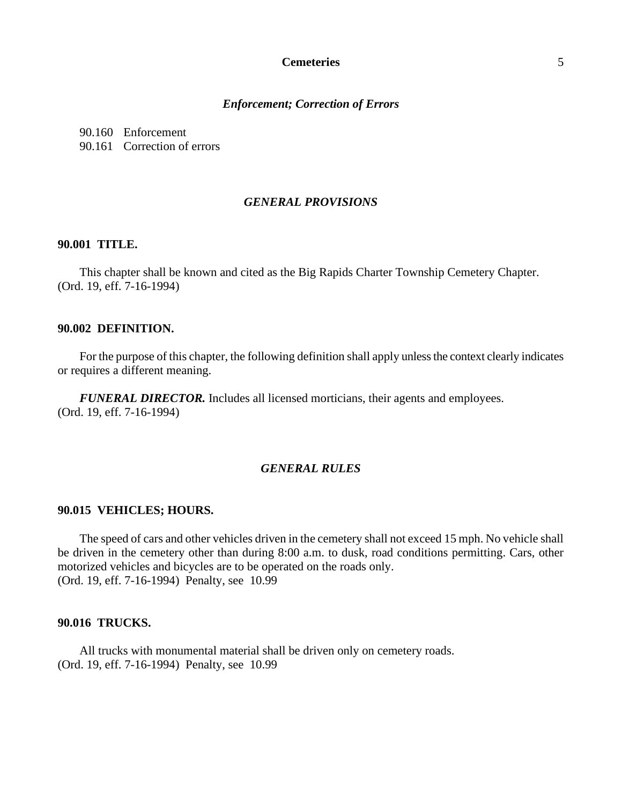#### *Enforcement; Correction of Errors*

90.160 Enforcement

90.161 Correction of errors

## *GENERAL PROVISIONS*

#### **90.001 TITLE.**

This chapter shall be known and cited as the Big Rapids Charter Township Cemetery Chapter. (Ord. 19, eff. 7-16-1994)

#### **90.002 DEFINITION.**

For the purpose of this chapter, the following definition shall apply unless the context clearly indicates or requires a different meaning.

*FUNERAL DIRECTOR.* Includes all licensed morticians, their agents and employees. (Ord. 19, eff. 7-16-1994)

## *GENERAL RULES*

### **90.015 VEHICLES; HOURS.**

The speed of cars and other vehicles driven in the cemetery shall not exceed 15 mph. No vehicle shall be driven in the cemetery other than during 8:00 a.m. to dusk, road conditions permitting. Cars, other motorized vehicles and bicycles are to be operated on the roads only. (Ord. 19, eff. 7-16-1994) Penalty, see 10.99

### **90.016 TRUCKS.**

All trucks with monumental material shall be driven only on cemetery roads. (Ord. 19, eff. 7-16-1994) Penalty, see 10.99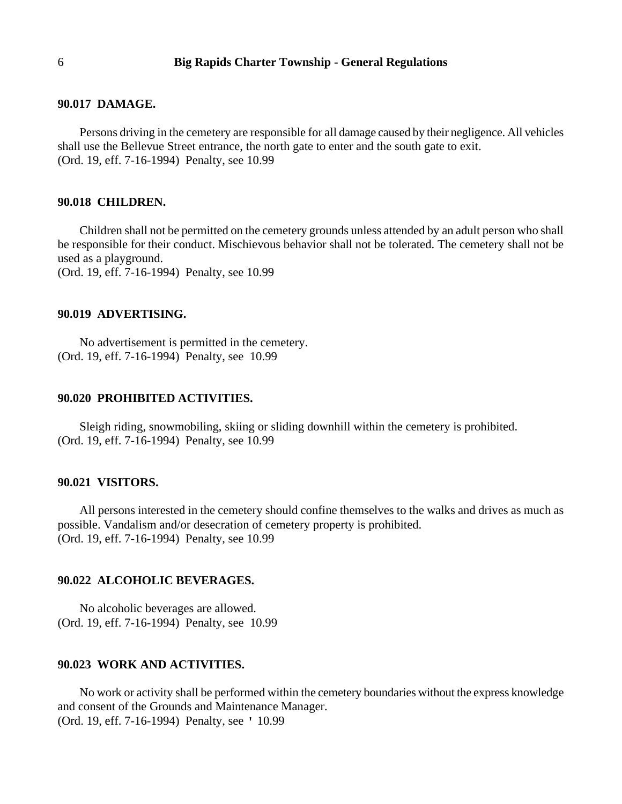#### **90.017 DAMAGE.**

Persons driving in the cemetery are responsible for all damage caused by their negligence. All vehicles shall use the Bellevue Street entrance, the north gate to enter and the south gate to exit. (Ord. 19, eff. 7-16-1994) Penalty, see 10.99

## **90.018 CHILDREN.**

Children shall not be permitted on the cemetery grounds unless attended by an adult person who shall be responsible for their conduct. Mischievous behavior shall not be tolerated. The cemetery shall not be used as a playground.

(Ord. 19, eff. 7-16-1994) Penalty, see 10.99

### **90.019 ADVERTISING.**

No advertisement is permitted in the cemetery. (Ord. 19, eff. 7-16-1994) Penalty, see 10.99

## **90.020 PROHIBITED ACTIVITIES.**

Sleigh riding, snowmobiling, skiing or sliding downhill within the cemetery is prohibited. (Ord. 19, eff. 7-16-1994) Penalty, see 10.99

#### **90.021 VISITORS.**

All persons interested in the cemetery should confine themselves to the walks and drives as much as possible. Vandalism and/or desecration of cemetery property is prohibited. (Ord. 19, eff. 7-16-1994) Penalty, see 10.99

### **90.022 ALCOHOLIC BEVERAGES.**

No alcoholic beverages are allowed. (Ord. 19, eff. 7-16-1994) Penalty, see 10.99

## **90.023 WORK AND ACTIVITIES.**

No work or activity shall be performed within the cemetery boundaries without the express knowledge and consent of the Grounds and Maintenance Manager. (Ord. 19, eff. 7-16-1994) Penalty, see ' 10.99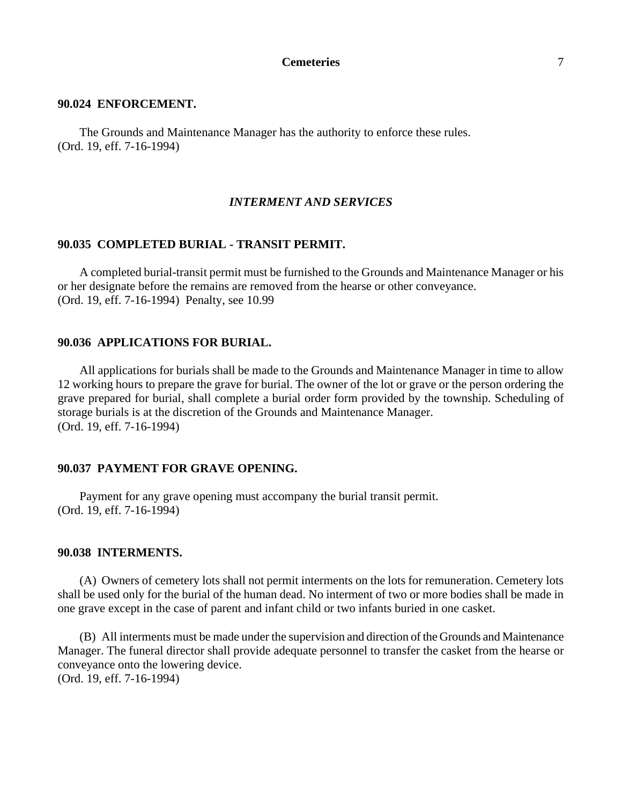#### **90.024 ENFORCEMENT.**

The Grounds and Maintenance Manager has the authority to enforce these rules. (Ord. 19, eff. 7-16-1994)

## *INTERMENT AND SERVICES*

#### **90.035 COMPLETED BURIAL - TRANSIT PERMIT.**

A completed burial-transit permit must be furnished to the Grounds and Maintenance Manager or his or her designate before the remains are removed from the hearse or other conveyance. (Ord. 19, eff. 7-16-1994) Penalty, see 10.99

## **90.036 APPLICATIONS FOR BURIAL.**

All applications for burials shall be made to the Grounds and Maintenance Manager in time to allow 12 working hours to prepare the grave for burial. The owner of the lot or grave or the person ordering the grave prepared for burial, shall complete a burial order form provided by the township. Scheduling of storage burials is at the discretion of the Grounds and Maintenance Manager. (Ord. 19, eff. 7-16-1994)

### **90.037 PAYMENT FOR GRAVE OPENING.**

Payment for any grave opening must accompany the burial transit permit. (Ord. 19, eff. 7-16-1994)

#### **90.038 INTERMENTS.**

(A) Owners of cemetery lots shall not permit interments on the lots for remuneration. Cemetery lots shall be used only for the burial of the human dead. No interment of two or more bodies shall be made in one grave except in the case of parent and infant child or two infants buried in one casket.

(B) All interments must be made under the supervision and direction of the Grounds and Maintenance Manager. The funeral director shall provide adequate personnel to transfer the casket from the hearse or conveyance onto the lowering device. (Ord. 19, eff. 7-16-1994)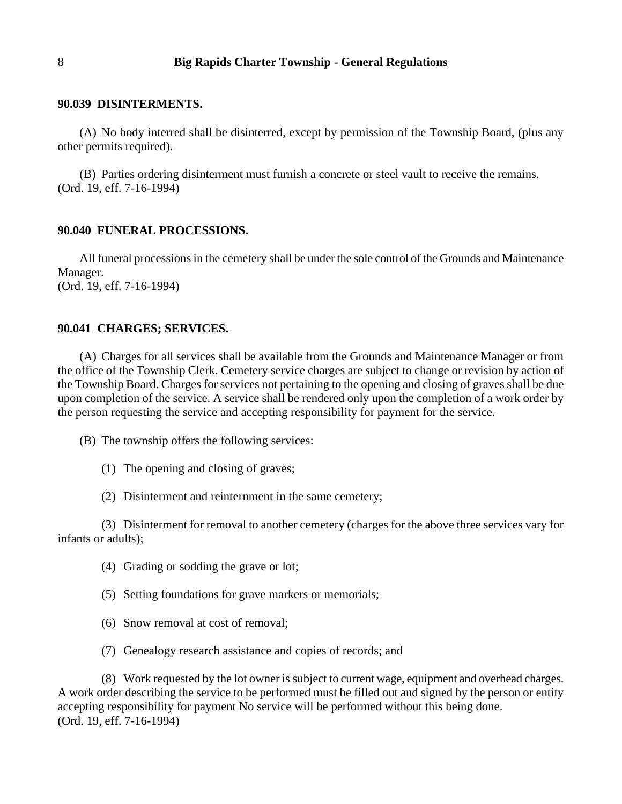#### **90.039 DISINTERMENTS.**

(A) No body interred shall be disinterred, except by permission of the Township Board, (plus any other permits required).

(B) Parties ordering disinterment must furnish a concrete or steel vault to receive the remains. (Ord. 19, eff. 7-16-1994)

#### **90.040 FUNERAL PROCESSIONS.**

All funeral processions in the cemetery shall be under the sole control of the Grounds and Maintenance Manager. (Ord. 19, eff. 7-16-1994)

#### **90.041 CHARGES; SERVICES.**

(A) Charges for all services shall be available from the Grounds and Maintenance Manager or from the office of the Township Clerk. Cemetery service charges are subject to change or revision by action of the Township Board. Charges for services not pertaining to the opening and closing of graves shall be due upon completion of the service. A service shall be rendered only upon the completion of a work order by the person requesting the service and accepting responsibility for payment for the service.

- (B) The township offers the following services:
	- (1) The opening and closing of graves;
	- (2) Disinterment and reinternment in the same cemetery;

(3) Disinterment for removal to another cemetery (charges for the above three services vary for infants or adults);

- (4) Grading or sodding the grave or lot;
- (5) Setting foundations for grave markers or memorials;
- (6) Snow removal at cost of removal;
- (7) Genealogy research assistance and copies of records; and

(8) Work requested by the lot owner is subject to current wage, equipment and overhead charges. A work order describing the service to be performed must be filled out and signed by the person or entity accepting responsibility for payment No service will be performed without this being done. (Ord. 19, eff. 7-16-1994)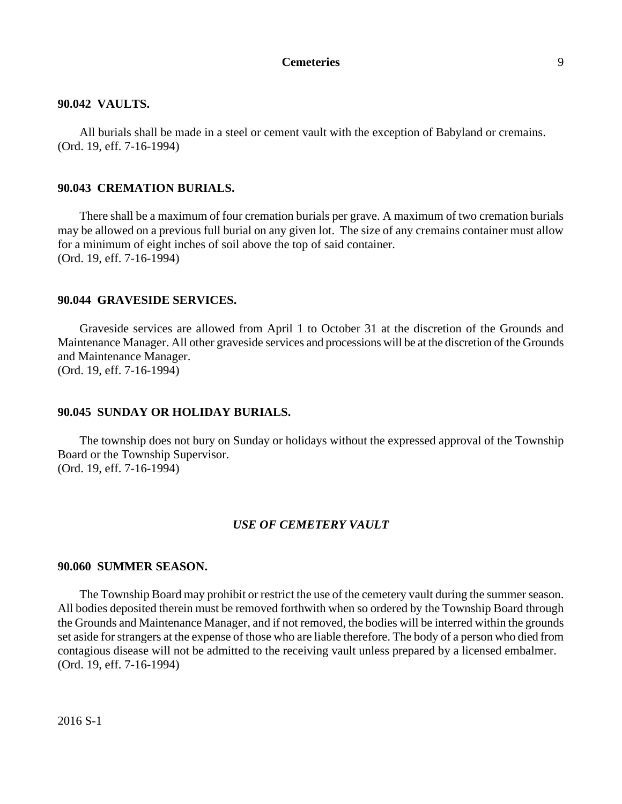#### **90.042 VAULTS.**

All burials shall be made in a steel or cement vault with the exception of Babyland or cremains. (Ord. 19, eff. 7-16-1994)

#### **90.043 CREMATION BURIALS.**

There shall be a maximum of four cremation burials per grave. A maximum of two cremation burials may be allowed on a previous full burial on any given lot. The size of any cremains container must allow for a minimum of eight inches of soil above the top of said container. (Ord. 19, eff. 7-16-1994)

#### **90.044 GRAVESIDE SERVICES.**

Graveside services are allowed from April 1 to October 31 at the discretion of the Grounds and Maintenance Manager. All other graveside services and processions will be at the discretion of the Grounds and Maintenance Manager. (Ord. 19, eff. 7-16-1994)

## **90.045 SUNDAY OR HOLIDAY BURIALS.**

The township does not bury on Sunday or holidays without the expressed approval of the Township Board or the Township Supervisor. (Ord. 19, eff. 7-16-1994)

### *USE OF CEMETERY VAULT*

#### **90.060 SUMMER SEASON.**

The Township Board may prohibit or restrict the use of the cemetery vault during the summer season. All bodies deposited therein must be removed forthwith when so ordered by the Township Board through the Grounds and Maintenance Manager, and if not removed, the bodies will be interred within the grounds set aside for strangers at the expense of those who are liable therefore. The body of a person who died from contagious disease will not be admitted to the receiving vault unless prepared by a licensed embalmer. (Ord. 19, eff. 7-16-1994)

2016 S-1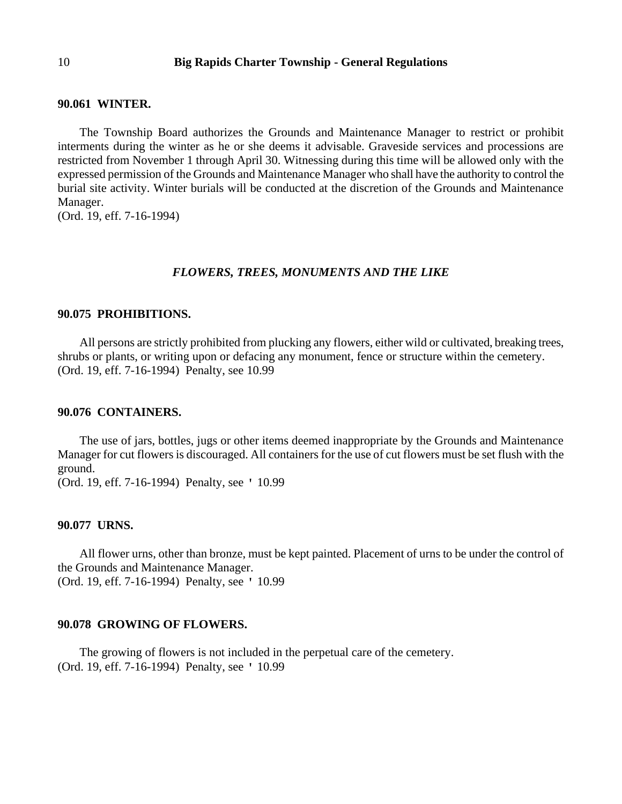#### **90.061 WINTER.**

The Township Board authorizes the Grounds and Maintenance Manager to restrict or prohibit interments during the winter as he or she deems it advisable. Graveside services and processions are restricted from November 1 through April 30. Witnessing during this time will be allowed only with the expressed permission of the Grounds and Maintenance Manager who shall have the authority to control the burial site activity. Winter burials will be conducted at the discretion of the Grounds and Maintenance Manager.

(Ord. 19, eff. 7-16-1994)

#### *FLOWERS, TREES, MONUMENTS AND THE LIKE*

#### **90.075 PROHIBITIONS.**

All persons are strictly prohibited from plucking any flowers, either wild or cultivated, breaking trees, shrubs or plants, or writing upon or defacing any monument, fence or structure within the cemetery. (Ord. 19, eff. 7-16-1994) Penalty, see 10.99

#### **90.076 CONTAINERS.**

The use of jars, bottles, jugs or other items deemed inappropriate by the Grounds and Maintenance Manager for cut flowers is discouraged. All containers for the use of cut flowers must be set flush with the ground.

(Ord. 19, eff. 7-16-1994) Penalty, see ' 10.99

#### **90.077 URNS.**

All flower urns, other than bronze, must be kept painted. Placement of urns to be under the control of the Grounds and Maintenance Manager. (Ord. 19, eff. 7-16-1994) Penalty, see ' 10.99

### **90.078 GROWING OF FLOWERS.**

The growing of flowers is not included in the perpetual care of the cemetery. (Ord. 19, eff. 7-16-1994) Penalty, see ' 10.99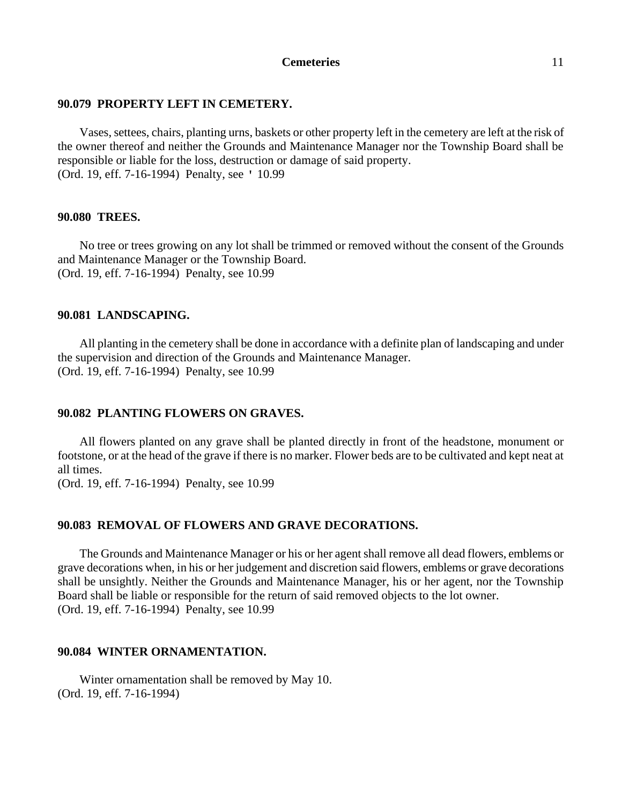### **90.079 PROPERTY LEFT IN CEMETERY.**

Vases, settees, chairs, planting urns, baskets or other property left in the cemetery are left at the risk of the owner thereof and neither the Grounds and Maintenance Manager nor the Township Board shall be responsible or liable for the loss, destruction or damage of said property. (Ord. 19, eff. 7-16-1994) Penalty, see ' 10.99

### **90.080 TREES.**

No tree or trees growing on any lot shall be trimmed or removed without the consent of the Grounds and Maintenance Manager or the Township Board. (Ord. 19, eff. 7-16-1994) Penalty, see 10.99

### **90.081 LANDSCAPING.**

All planting in the cemetery shall be done in accordance with a definite plan of landscaping and under the supervision and direction of the Grounds and Maintenance Manager. (Ord. 19, eff. 7-16-1994) Penalty, see 10.99

## **90.082 PLANTING FLOWERS ON GRAVES.**

All flowers planted on any grave shall be planted directly in front of the headstone, monument or footstone, or at the head of the grave if there is no marker. Flower beds are to be cultivated and kept neat at all times.

(Ord. 19, eff. 7-16-1994) Penalty, see 10.99

## **90.083 REMOVAL OF FLOWERS AND GRAVE DECORATIONS.**

The Grounds and Maintenance Manager or his or her agent shall remove all dead flowers, emblems or grave decorations when, in his or her judgement and discretion said flowers, emblems or grave decorations shall be unsightly. Neither the Grounds and Maintenance Manager, his or her agent, nor the Township Board shall be liable or responsible for the return of said removed objects to the lot owner. (Ord. 19, eff. 7-16-1994) Penalty, see 10.99

#### **90.084 WINTER ORNAMENTATION.**

Winter ornamentation shall be removed by May 10. (Ord. 19, eff. 7-16-1994)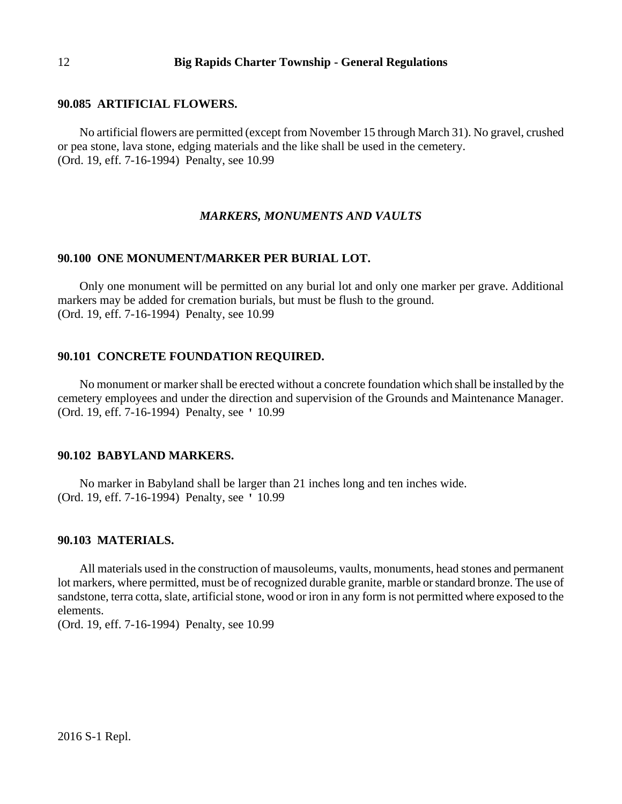#### **90.085 ARTIFICIAL FLOWERS.**

No artificial flowers are permitted (except from November 15 through March 31). No gravel, crushed or pea stone, lava stone, edging materials and the like shall be used in the cemetery. (Ord. 19, eff. 7-16-1994) Penalty, see 10.99

#### *MARKERS, MONUMENTS AND VAULTS*

## **90.100 ONE MONUMENT/MARKER PER BURIAL LOT.**

Only one monument will be permitted on any burial lot and only one marker per grave. Additional markers may be added for cremation burials, but must be flush to the ground. (Ord. 19, eff. 7-16-1994) Penalty, see 10.99

### **90.101 CONCRETE FOUNDATION REQUIRED.**

No monument or marker shall be erected without a concrete foundation which shall be installed by the cemetery employees and under the direction and supervision of the Grounds and Maintenance Manager. (Ord. 19, eff. 7-16-1994) Penalty, see ' 10.99

### **90.102 BABYLAND MARKERS.**

No marker in Babyland shall be larger than 21 inches long and ten inches wide. (Ord. 19, eff. 7-16-1994) Penalty, see ' 10.99

#### **90.103 MATERIALS.**

All materials used in the construction of mausoleums, vaults, monuments, head stones and permanent lot markers, where permitted, must be of recognized durable granite, marble or standard bronze. The use of sandstone, terra cotta, slate, artificial stone, wood or iron in any form is not permitted where exposed to the elements.

(Ord. 19, eff. 7-16-1994) Penalty, see 10.99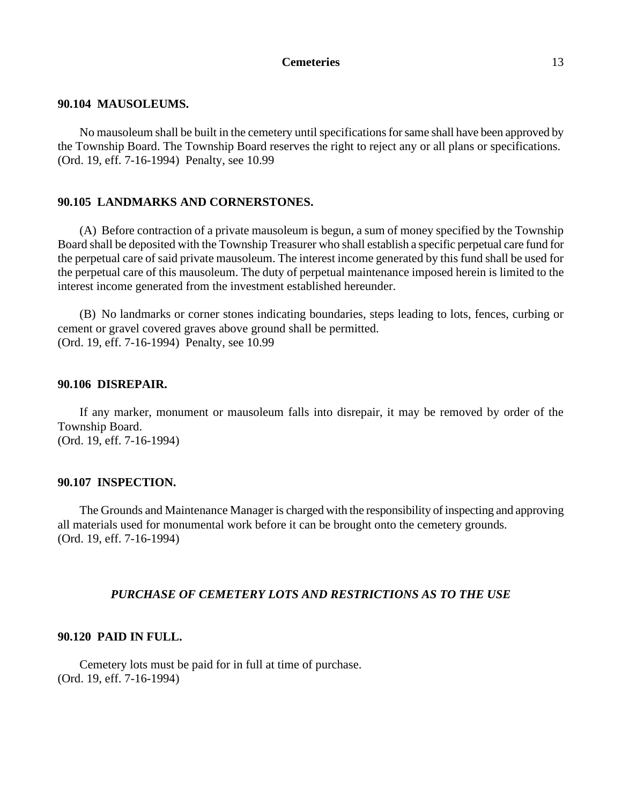#### **90.104 MAUSOLEUMS.**

No mausoleum shall be built in the cemetery until specifications for same shall have been approved by the Township Board. The Township Board reserves the right to reject any or all plans or specifications. (Ord. 19, eff. 7-16-1994) Penalty, see 10.99

### **90.105 LANDMARKS AND CORNERSTONES.**

(A) Before contraction of a private mausoleum is begun, a sum of money specified by the Township Board shall be deposited with the Township Treasurer who shall establish a specific perpetual care fund for the perpetual care of said private mausoleum. The interest income generated by this fund shall be used for the perpetual care of this mausoleum. The duty of perpetual maintenance imposed herein is limited to the interest income generated from the investment established hereunder.

(B) No landmarks or corner stones indicating boundaries, steps leading to lots, fences, curbing or cement or gravel covered graves above ground shall be permitted. (Ord. 19, eff. 7-16-1994) Penalty, see 10.99

### **90.106 DISREPAIR.**

If any marker, monument or mausoleum falls into disrepair, it may be removed by order of the Township Board.

(Ord. 19, eff. 7-16-1994)

### **90.107 INSPECTION.**

The Grounds and Maintenance Manager is charged with the responsibility of inspecting and approving all materials used for monumental work before it can be brought onto the cemetery grounds. (Ord. 19, eff. 7-16-1994)

### *PURCHASE OF CEMETERY LOTS AND RESTRICTIONS AS TO THE USE*

## **90.120 PAID IN FULL.**

Cemetery lots must be paid for in full at time of purchase. (Ord. 19, eff. 7-16-1994)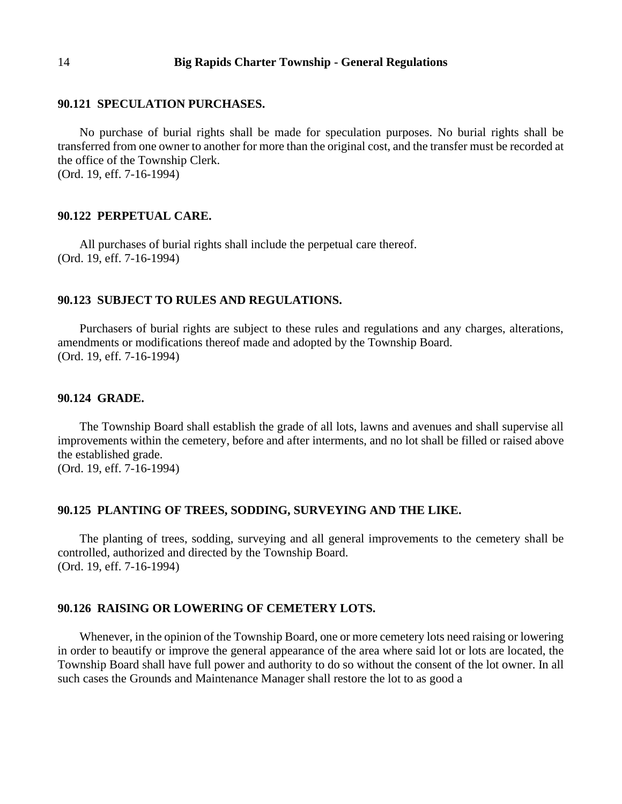#### **90.121 SPECULATION PURCHASES.**

No purchase of burial rights shall be made for speculation purposes. No burial rights shall be transferred from one owner to another for more than the original cost, and the transfer must be recorded at the office of the Township Clerk. (Ord. 19, eff. 7-16-1994)

#### **90.122 PERPETUAL CARE.**

All purchases of burial rights shall include the perpetual care thereof. (Ord. 19, eff. 7-16-1994)

### **90.123 SUBJECT TO RULES AND REGULATIONS.**

Purchasers of burial rights are subject to these rules and regulations and any charges, alterations, amendments or modifications thereof made and adopted by the Township Board. (Ord. 19, eff. 7-16-1994)

#### **90.124 GRADE.**

The Township Board shall establish the grade of all lots, lawns and avenues and shall supervise all improvements within the cemetery, before and after interments, and no lot shall be filled or raised above the established grade.

(Ord. 19, eff. 7-16-1994)

### **90.125 PLANTING OF TREES, SODDING, SURVEYING AND THE LIKE.**

The planting of trees, sodding, surveying and all general improvements to the cemetery shall be controlled, authorized and directed by the Township Board. (Ord. 19, eff. 7-16-1994)

#### **90.126 RAISING OR LOWERING OF CEMETERY LOTS.**

Whenever, in the opinion of the Township Board, one or more cemetery lots need raising or lowering in order to beautify or improve the general appearance of the area where said lot or lots are located, the Township Board shall have full power and authority to do so without the consent of the lot owner. In all such cases the Grounds and Maintenance Manager shall restore the lot to as good a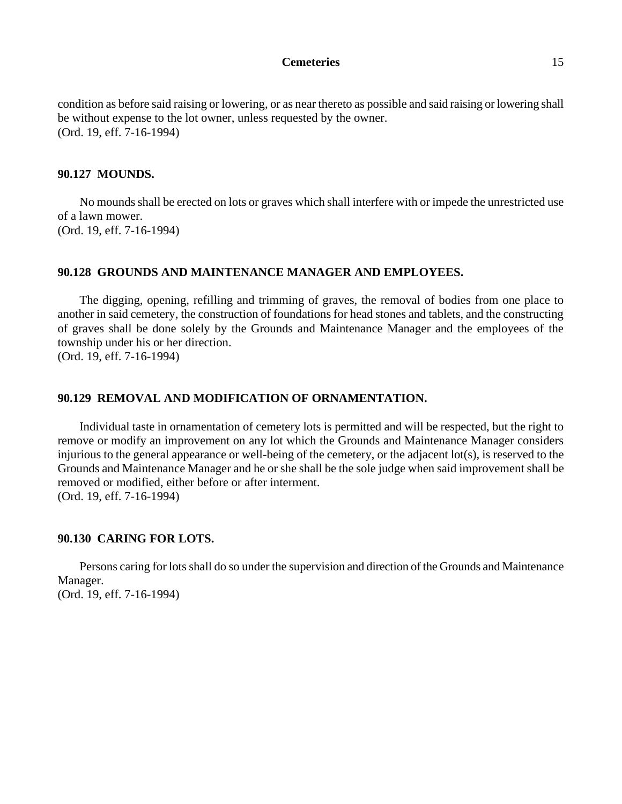condition as before said raising or lowering, or as near thereto as possible and said raising or lowering shall be without expense to the lot owner, unless requested by the owner. (Ord. 19, eff. 7-16-1994)

#### **90.127 MOUNDS.**

No mounds shall be erected on lots or graves which shall interfere with or impede the unrestricted use of a lawn mower. (Ord. 19, eff. 7-16-1994)

#### **90.128 GROUNDS AND MAINTENANCE MANAGER AND EMPLOYEES.**

The digging, opening, refilling and trimming of graves, the removal of bodies from one place to another in said cemetery, the construction of foundations for head stones and tablets, and the constructing of graves shall be done solely by the Grounds and Maintenance Manager and the employees of the township under his or her direction.

(Ord. 19, eff. 7-16-1994)

## **90.129 REMOVAL AND MODIFICATION OF ORNAMENTATION.**

Individual taste in ornamentation of cemetery lots is permitted and will be respected, but the right to remove or modify an improvement on any lot which the Grounds and Maintenance Manager considers injurious to the general appearance or well-being of the cemetery, or the adjacent lot(s), is reserved to the Grounds and Maintenance Manager and he or she shall be the sole judge when said improvement shall be removed or modified, either before or after interment. (Ord. 19, eff. 7-16-1994)

### **90.130 CARING FOR LOTS.**

Persons caring for lots shall do so under the supervision and direction of the Grounds and Maintenance Manager. (Ord. 19, eff. 7-16-1994)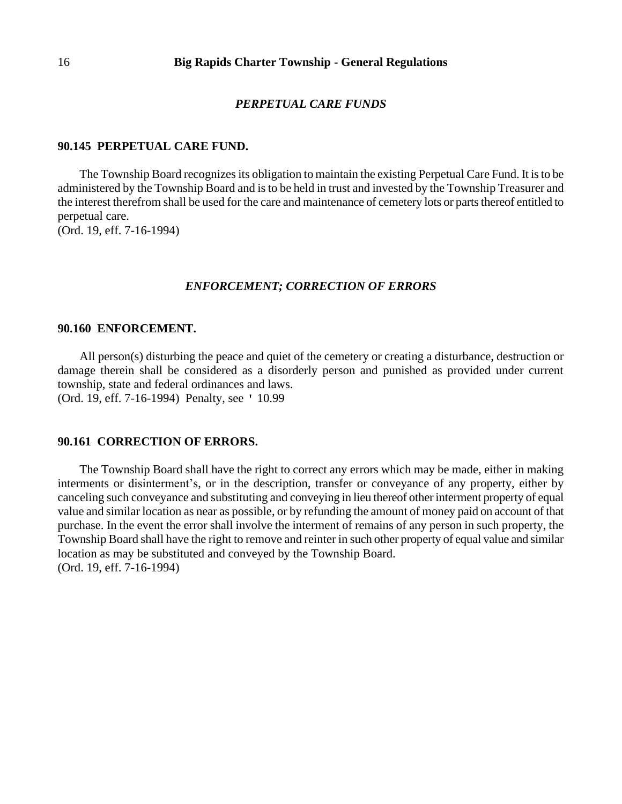### *PERPETUAL CARE FUNDS*

### **90.145 PERPETUAL CARE FUND.**

The Township Board recognizes its obligation to maintain the existing Perpetual Care Fund. It is to be administered by the Township Board and is to be held in trust and invested by the Township Treasurer and the interest therefrom shall be used for the care and maintenance of cemetery lots or parts thereof entitled to perpetual care.

(Ord. 19, eff. 7-16-1994)

### *ENFORCEMENT; CORRECTION OF ERRORS*

#### **90.160 ENFORCEMENT.**

All person(s) disturbing the peace and quiet of the cemetery or creating a disturbance, destruction or damage therein shall be considered as a disorderly person and punished as provided under current township, state and federal ordinances and laws. (Ord. 19, eff. 7-16-1994) Penalty, see ' 10.99

### **90.161 CORRECTION OF ERRORS.**

The Township Board shall have the right to correct any errors which may be made, either in making interments or disinterment's, or in the description, transfer or conveyance of any property, either by canceling such conveyance and substituting and conveying in lieu thereof other interment property of equal value and similar location as near as possible, or by refunding the amount of money paid on account of that purchase. In the event the error shall involve the interment of remains of any person in such property, the Township Board shall have the right to remove and reinter in such other property of equal value and similar location as may be substituted and conveyed by the Township Board. (Ord. 19, eff. 7-16-1994)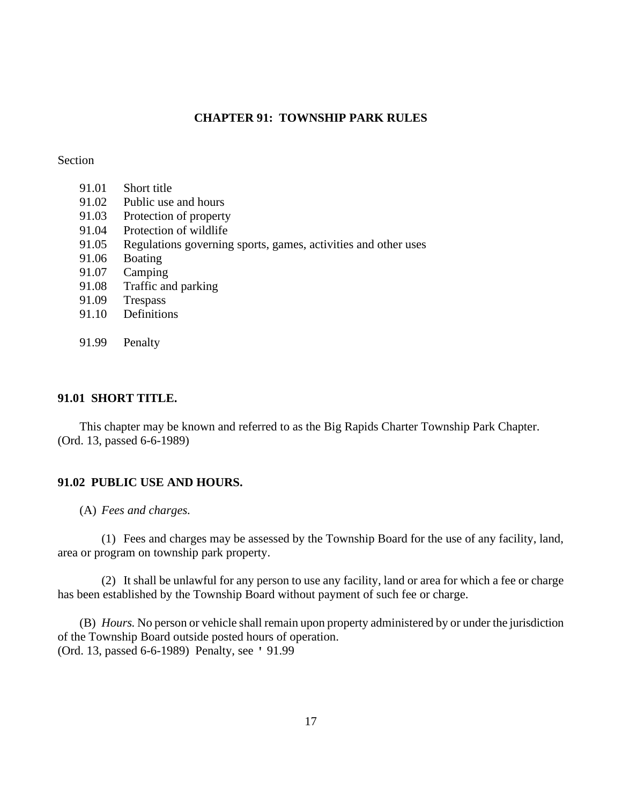## **CHAPTER 91: TOWNSHIP PARK RULES**

### Section

- 91.01 Short title
- 91.02 Public use and hours
- 91.03 Protection of property
- 91.04 Protection of wildlife
- 91.05 Regulations governing sports, games, activities and other uses
- 91.06 Boating
- 91.07 Camping
- 91.08 Traffic and parking
- 91.09 Trespass
- 91.10 Definitions
- 91.99 Penalty

## **91.01 SHORT TITLE.**

This chapter may be known and referred to as the Big Rapids Charter Township Park Chapter. (Ord. 13, passed 6-6-1989)

### **91.02 PUBLIC USE AND HOURS.**

(A) *Fees and charges.*

(1) Fees and charges may be assessed by the Township Board for the use of any facility, land, area or program on township park property.

(2) It shall be unlawful for any person to use any facility, land or area for which a fee or charge has been established by the Township Board without payment of such fee or charge.

(B) *Hours.* No person or vehicle shall remain upon property administered by or under the jurisdiction of the Township Board outside posted hours of operation. (Ord. 13, passed 6-6-1989) Penalty, see ' 91.99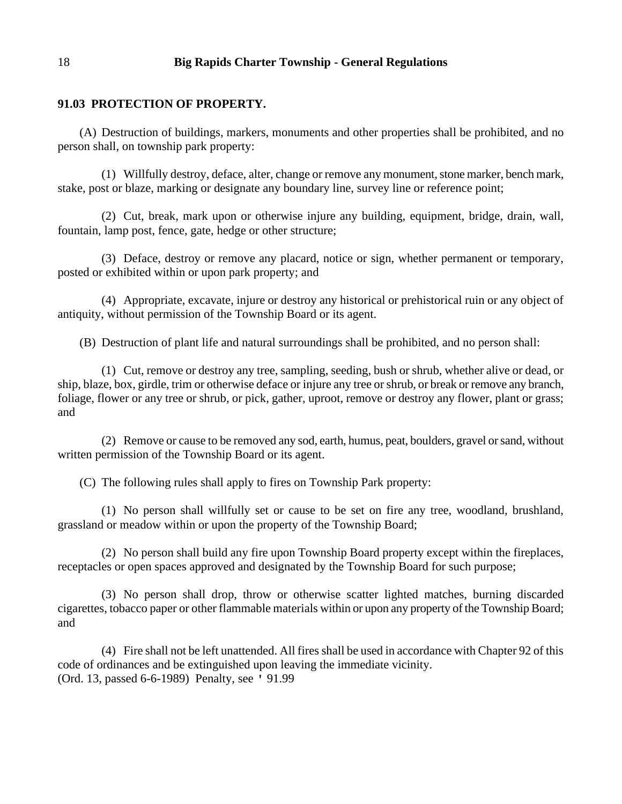### **91.03 PROTECTION OF PROPERTY.**

(A) Destruction of buildings, markers, monuments and other properties shall be prohibited, and no person shall, on township park property:

(1) Willfully destroy, deface, alter, change or remove any monument, stone marker, bench mark, stake, post or blaze, marking or designate any boundary line, survey line or reference point;

(2) Cut, break, mark upon or otherwise injure any building, equipment, bridge, drain, wall, fountain, lamp post, fence, gate, hedge or other structure;

(3) Deface, destroy or remove any placard, notice or sign, whether permanent or temporary, posted or exhibited within or upon park property; and

(4) Appropriate, excavate, injure or destroy any historical or prehistorical ruin or any object of antiquity, without permission of the Township Board or its agent.

(B) Destruction of plant life and natural surroundings shall be prohibited, and no person shall:

(1) Cut, remove or destroy any tree, sampling, seeding, bush or shrub, whether alive or dead, or ship, blaze, box, girdle, trim or otherwise deface or injure any tree or shrub, or break or remove any branch, foliage, flower or any tree or shrub, or pick, gather, uproot, remove or destroy any flower, plant or grass; and

(2) Remove or cause to be removed any sod, earth, humus, peat, boulders, gravel or sand, without written permission of the Township Board or its agent.

(C) The following rules shall apply to fires on Township Park property:

(1) No person shall willfully set or cause to be set on fire any tree, woodland, brushland, grassland or meadow within or upon the property of the Township Board;

(2) No person shall build any fire upon Township Board property except within the fireplaces, receptacles or open spaces approved and designated by the Township Board for such purpose;

(3) No person shall drop, throw or otherwise scatter lighted matches, burning discarded cigarettes, tobacco paper or other flammable materials within or upon any property of the Township Board; and

(4) Fire shall not be left unattended. All fires shall be used in accordance with Chapter 92 of this code of ordinances and be extinguished upon leaving the immediate vicinity. (Ord. 13, passed 6-6-1989) Penalty, see ' 91.99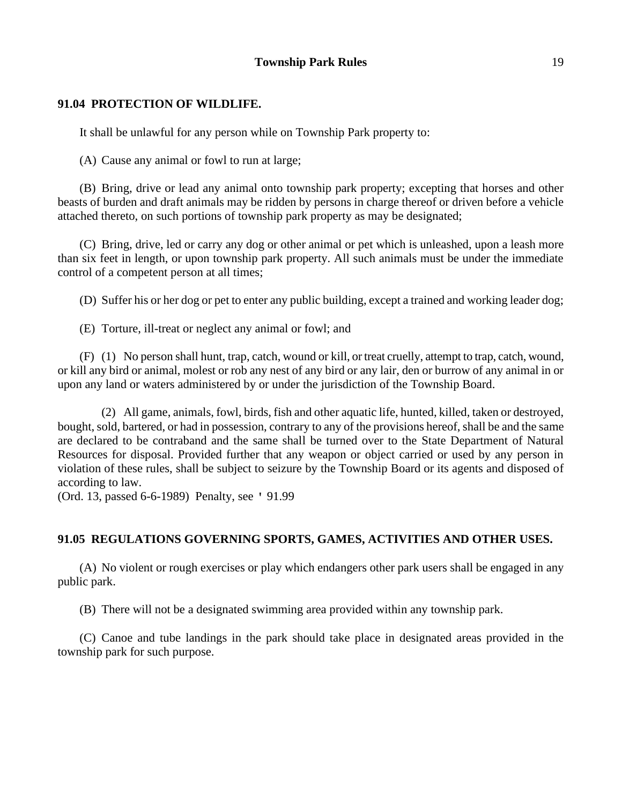### **Township Park Rules** 19

#### **91.04 PROTECTION OF WILDLIFE.**

It shall be unlawful for any person while on Township Park property to:

(A) Cause any animal or fowl to run at large;

(B) Bring, drive or lead any animal onto township park property; excepting that horses and other beasts of burden and draft animals may be ridden by persons in charge thereof or driven before a vehicle attached thereto, on such portions of township park property as may be designated;

(C) Bring, drive, led or carry any dog or other animal or pet which is unleashed, upon a leash more than six feet in length, or upon township park property. All such animals must be under the immediate control of a competent person at all times;

(D) Suffer his or her dog or pet to enter any public building, except a trained and working leader dog;

(E) Torture, ill-treat or neglect any animal or fowl; and

(F) (1) No person shall hunt, trap, catch, wound or kill, or treat cruelly, attempt to trap, catch, wound, or kill any bird or animal, molest or rob any nest of any bird or any lair, den or burrow of any animal in or upon any land or waters administered by or under the jurisdiction of the Township Board.

(2) All game, animals, fowl, birds, fish and other aquatic life, hunted, killed, taken or destroyed, bought, sold, bartered, or had in possession, contrary to any of the provisions hereof, shall be and the same are declared to be contraband and the same shall be turned over to the State Department of Natural Resources for disposal. Provided further that any weapon or object carried or used by any person in violation of these rules, shall be subject to seizure by the Township Board or its agents and disposed of according to law.

(Ord. 13, passed 6-6-1989) Penalty, see ' 91.99

#### **91.05 REGULATIONS GOVERNING SPORTS, GAMES, ACTIVITIES AND OTHER USES.**

(A) No violent or rough exercises or play which endangers other park users shall be engaged in any public park.

(B) There will not be a designated swimming area provided within any township park.

(C) Canoe and tube landings in the park should take place in designated areas provided in the township park for such purpose.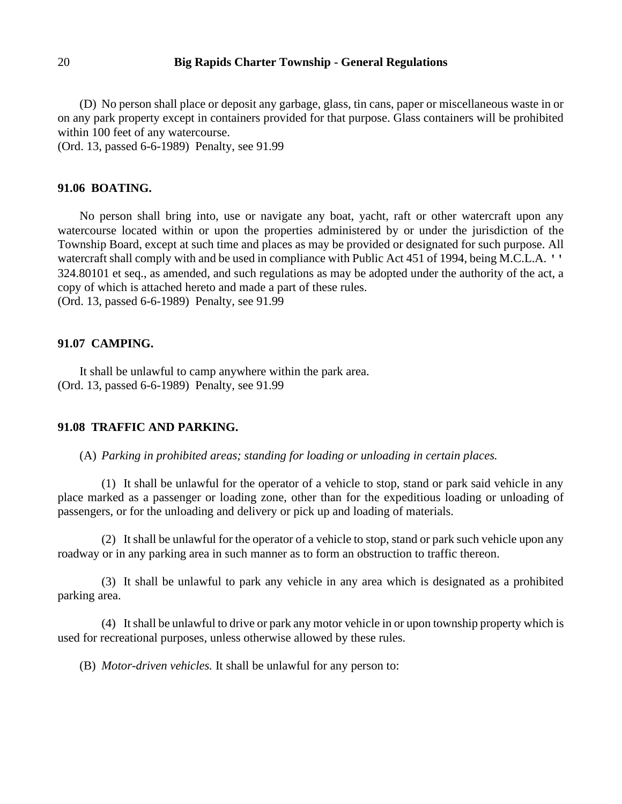(D) No person shall place or deposit any garbage, glass, tin cans, paper or miscellaneous waste in or on any park property except in containers provided for that purpose. Glass containers will be prohibited within 100 feet of any watercourse.

(Ord. 13, passed 6-6-1989) Penalty, see 91.99

#### **91.06 BOATING.**

No person shall bring into, use or navigate any boat, yacht, raft or other watercraft upon any watercourse located within or upon the properties administered by or under the jurisdiction of the Township Board, except at such time and places as may be provided or designated for such purpose. All watercraft shall comply with and be used in compliance with Public Act 451 of 1994, being M.C.L.A. '' 324.80101 et seq., as amended, and such regulations as may be adopted under the authority of the act, a copy of which is attached hereto and made a part of these rules. (Ord. 13, passed 6-6-1989) Penalty, see 91.99

### **91.07 CAMPING.**

It shall be unlawful to camp anywhere within the park area. (Ord. 13, passed 6-6-1989) Penalty, see 91.99

#### **91.08 TRAFFIC AND PARKING.**

(A) *Parking in prohibited areas; standing for loading or unloading in certain places.*

(1) It shall be unlawful for the operator of a vehicle to stop, stand or park said vehicle in any place marked as a passenger or loading zone, other than for the expeditious loading or unloading of passengers, or for the unloading and delivery or pick up and loading of materials.

(2) It shall be unlawful for the operator of a vehicle to stop, stand or park such vehicle upon any roadway or in any parking area in such manner as to form an obstruction to traffic thereon.

(3) It shall be unlawful to park any vehicle in any area which is designated as a prohibited parking area.

(4) It shall be unlawful to drive or park any motor vehicle in or upon township property which is used for recreational purposes, unless otherwise allowed by these rules.

(B) *Motor-driven vehicles.* It shall be unlawful for any person to: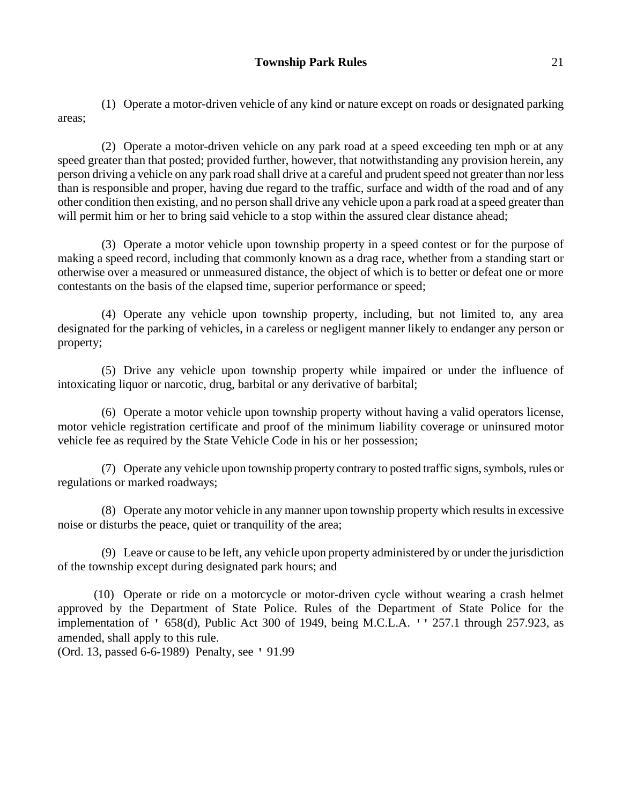(1) Operate a motor-driven vehicle of any kind or nature except on roads or designated parking areas;

(2) Operate a motor-driven vehicle on any park road at a speed exceeding ten mph or at any speed greater than that posted; provided further, however, that notwithstanding any provision herein, any person driving a vehicle on any park road shall drive at a careful and prudent speed not greater than nor less than is responsible and proper, having due regard to the traffic, surface and width of the road and of any other condition then existing, and no person shall drive any vehicle upon a park road at a speed greater than will permit him or her to bring said vehicle to a stop within the assured clear distance ahead;

(3) Operate a motor vehicle upon township property in a speed contest or for the purpose of making a speed record, including that commonly known as a drag race, whether from a standing start or otherwise over a measured or unmeasured distance, the object of which is to better or defeat one or more contestants on the basis of the elapsed time, superior performance or speed;

(4) Operate any vehicle upon township property, including, but not limited to, any area designated for the parking of vehicles, in a careless or negligent manner likely to endanger any person or property;

(5) Drive any vehicle upon township property while impaired or under the influence of intoxicating liquor or narcotic, drug, barbital or any derivative of barbital;

(6) Operate a motor vehicle upon township property without having a valid operators license, motor vehicle registration certificate and proof of the minimum liability coverage or uninsured motor vehicle fee as required by the State Vehicle Code in his or her possession;

(7) Operate any vehicle upon township property contrary to posted traffic signs, symbols, rules or regulations or marked roadways;

(8) Operate any motor vehicle in any manner upon township property which results in excessive noise or disturbs the peace, quiet or tranquility of the area;

(9) Leave or cause to be left, any vehicle upon property administered by or under the jurisdiction of the township except during designated park hours; and

(10) Operate or ride on a motorcycle or motor-driven cycle without wearing a crash helmet approved by the Department of State Police. Rules of the Department of State Police for the implementation of ' 658(d), Public Act 300 of 1949, being M.C.L.A. '' 257.1 through 257.923, as amended, shall apply to this rule.

(Ord. 13, passed 6-6-1989) Penalty, see ' 91.99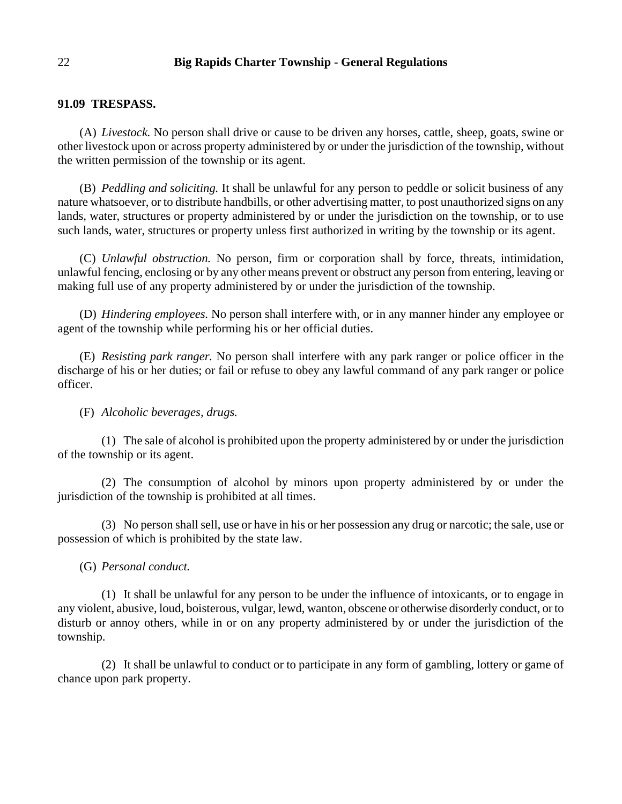### **91.09 TRESPASS.**

(A) *Livestock.* No person shall drive or cause to be driven any horses, cattle, sheep, goats, swine or other livestock upon or across property administered by or under the jurisdiction of the township, without the written permission of the township or its agent.

(B) *Peddling and soliciting.* It shall be unlawful for any person to peddle or solicit business of any nature whatsoever, or to distribute handbills, or other advertising matter, to post unauthorized signs on any lands, water, structures or property administered by or under the jurisdiction on the township, or to use such lands, water, structures or property unless first authorized in writing by the township or its agent.

(C) *Unlawful obstruction.* No person, firm or corporation shall by force, threats, intimidation, unlawful fencing, enclosing or by any other means prevent or obstruct any person from entering, leaving or making full use of any property administered by or under the jurisdiction of the township.

(D) *Hindering employees.* No person shall interfere with, or in any manner hinder any employee or agent of the township while performing his or her official duties.

(E) *Resisting park ranger.* No person shall interfere with any park ranger or police officer in the discharge of his or her duties; or fail or refuse to obey any lawful command of any park ranger or police officer.

### (F) *Alcoholic beverages, drugs.*

(1) The sale of alcohol is prohibited upon the property administered by or under the jurisdiction of the township or its agent.

(2) The consumption of alcohol by minors upon property administered by or under the jurisdiction of the township is prohibited at all times.

(3) No person shall sell, use or have in his or her possession any drug or narcotic; the sale, use or possession of which is prohibited by the state law.

(G) *Personal conduct.*

(1) It shall be unlawful for any person to be under the influence of intoxicants, or to engage in any violent, abusive, loud, boisterous, vulgar, lewd, wanton, obscene or otherwise disorderly conduct, or to disturb or annoy others, while in or on any property administered by or under the jurisdiction of the township.

(2) It shall be unlawful to conduct or to participate in any form of gambling, lottery or game of chance upon park property.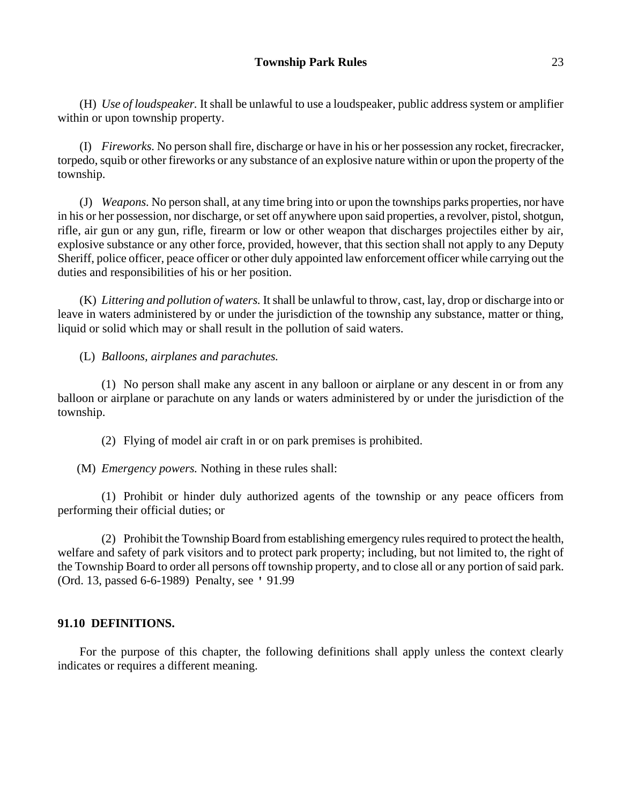(H) *Use of loudspeaker.* It shall be unlawful to use a loudspeaker, public address system or amplifier within or upon township property.

(I) *Fireworks.* No person shall fire, discharge or have in his or her possession any rocket, firecracker, torpedo, squib or other fireworks or any substance of an explosive nature within or upon the property of the township.

(J) *Weapons.* No person shall, at any time bring into or upon the townships parks properties, nor have in his or her possession, nor discharge, or set off anywhere upon said properties, a revolver, pistol, shotgun, rifle, air gun or any gun, rifle, firearm or low or other weapon that discharges projectiles either by air, explosive substance or any other force, provided, however, that this section shall not apply to any Deputy Sheriff, police officer, peace officer or other duly appointed law enforcement officer while carrying out the duties and responsibilities of his or her position.

(K) *Littering and pollution of waters.* It shall be unlawful to throw, cast, lay, drop or discharge into or leave in waters administered by or under the jurisdiction of the township any substance, matter or thing, liquid or solid which may or shall result in the pollution of said waters.

# (L) *Balloons, airplanes and parachutes.*

(1) No person shall make any ascent in any balloon or airplane or any descent in or from any balloon or airplane or parachute on any lands or waters administered by or under the jurisdiction of the township.

(2) Flying of model air craft in or on park premises is prohibited.

(M) *Emergency powers.* Nothing in these rules shall:

(1) Prohibit or hinder duly authorized agents of the township or any peace officers from performing their official duties; or

(2) Prohibit the Township Board from establishing emergency rules required to protect the health, welfare and safety of park visitors and to protect park property; including, but not limited to, the right of the Township Board to order all persons off township property, and to close all or any portion of said park. (Ord. 13, passed 6-6-1989) Penalty, see ' 91.99

# **91.10 DEFINITIONS.**

For the purpose of this chapter, the following definitions shall apply unless the context clearly indicates or requires a different meaning.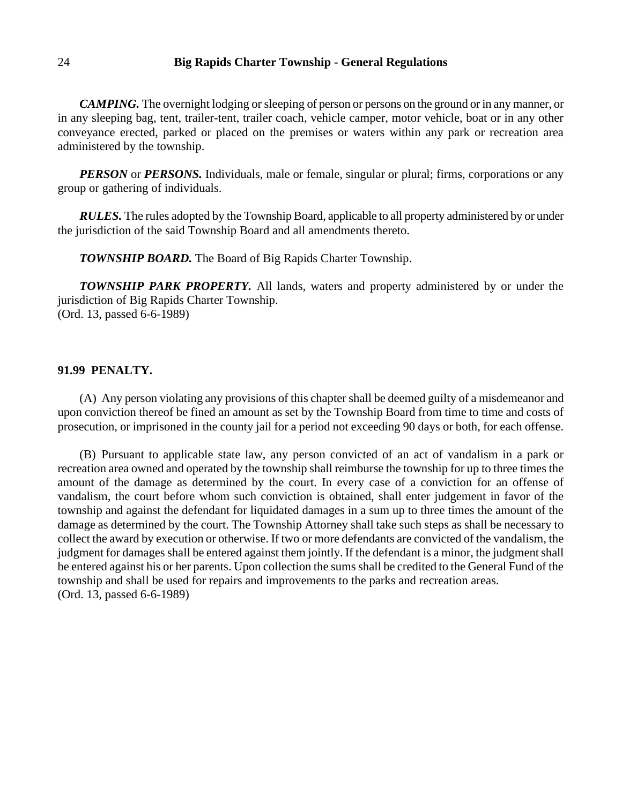*CAMPING.* The overnight lodging or sleeping of person or persons on the ground or in any manner, or in any sleeping bag, tent, trailer-tent, trailer coach, vehicle camper, motor vehicle, boat or in any other conveyance erected, parked or placed on the premises or waters within any park or recreation area administered by the township.

*PERSON* or *PERSONS*. Individuals, male or female, singular or plural; firms, corporations or any group or gathering of individuals.

*RULES.* The rules adopted by the Township Board, applicable to all property administered by or under the jurisdiction of the said Township Board and all amendments thereto.

*TOWNSHIP BOARD.* The Board of Big Rapids Charter Township.

*TOWNSHIP PARK PROPERTY.* All lands, waters and property administered by or under the jurisdiction of Big Rapids Charter Township. (Ord. 13, passed 6-6-1989)

### **91.99 PENALTY.**

(A) Any person violating any provisions of this chapter shall be deemed guilty of a misdemeanor and upon conviction thereof be fined an amount as set by the Township Board from time to time and costs of prosecution, or imprisoned in the county jail for a period not exceeding 90 days or both, for each offense.

(B) Pursuant to applicable state law, any person convicted of an act of vandalism in a park or recreation area owned and operated by the township shall reimburse the township for up to three times the amount of the damage as determined by the court. In every case of a conviction for an offense of vandalism, the court before whom such conviction is obtained, shall enter judgement in favor of the township and against the defendant for liquidated damages in a sum up to three times the amount of the damage as determined by the court. The Township Attorney shall take such steps as shall be necessary to collect the award by execution or otherwise. If two or more defendants are convicted of the vandalism, the judgment for damages shall be entered against them jointly. If the defendant is a minor, the judgment shall be entered against his or her parents. Upon collection the sums shall be credited to the General Fund of the township and shall be used for repairs and improvements to the parks and recreation areas. (Ord. 13, passed 6-6-1989)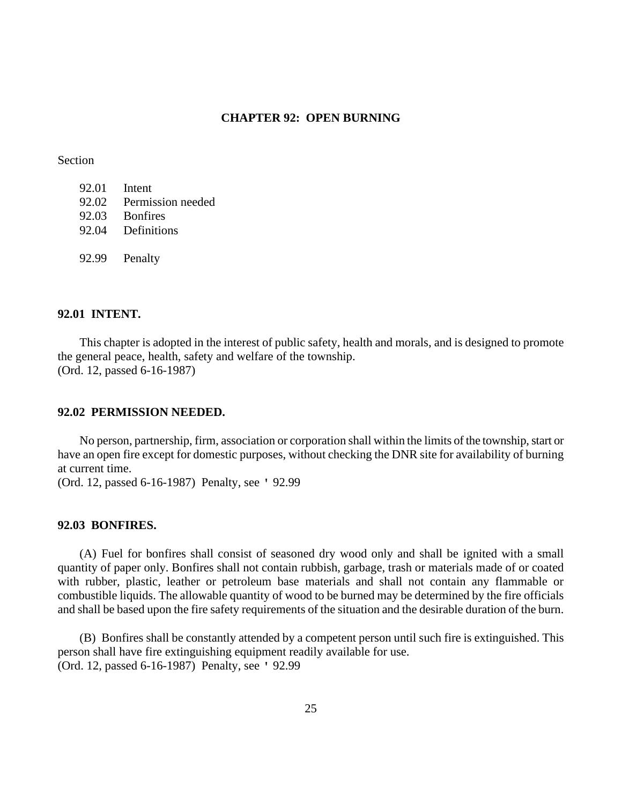### **CHAPTER 92: OPEN BURNING**

#### Section

|       | 92.01 Intent      |
|-------|-------------------|
| 92.02 | Permission needed |
| 92.03 | <b>Bonfires</b>   |
| 92.04 | Definitions       |
|       |                   |
|       | 92.99 Penalty     |

#### **92.01 INTENT.**

This chapter is adopted in the interest of public safety, health and morals, and is designed to promote the general peace, health, safety and welfare of the township. (Ord. 12, passed 6-16-1987)

### **92.02 PERMISSION NEEDED.**

No person, partnership, firm, association or corporation shall within the limits of the township, start or have an open fire except for domestic purposes, without checking the DNR site for availability of burning at current time.

(Ord. 12, passed 6-16-1987) Penalty, see ' 92.99

## **92.03 BONFIRES.**

(A) Fuel for bonfires shall consist of seasoned dry wood only and shall be ignited with a small quantity of paper only. Bonfires shall not contain rubbish, garbage, trash or materials made of or coated with rubber, plastic, leather or petroleum base materials and shall not contain any flammable or combustible liquids. The allowable quantity of wood to be burned may be determined by the fire officials and shall be based upon the fire safety requirements of the situation and the desirable duration of the burn.

(B) Bonfires shall be constantly attended by a competent person until such fire is extinguished. This person shall have fire extinguishing equipment readily available for use. (Ord. 12, passed 6-16-1987) Penalty, see ' 92.99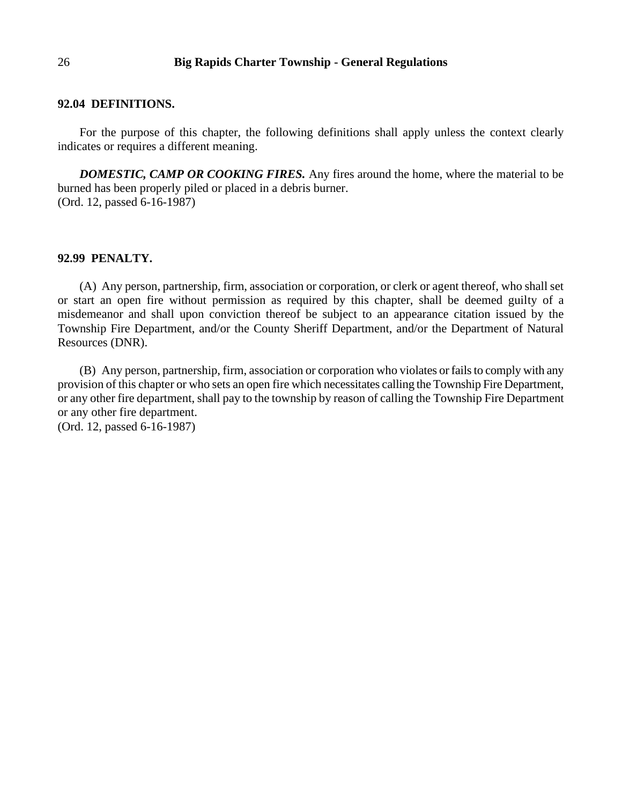#### **92.04 DEFINITIONS.**

For the purpose of this chapter, the following definitions shall apply unless the context clearly indicates or requires a different meaning.

*DOMESTIC, CAMP OR COOKING FIRES.* Any fires around the home, where the material to be burned has been properly piled or placed in a debris burner. (Ord. 12, passed 6-16-1987)

### **92.99 PENALTY.**

(A) Any person, partnership, firm, association or corporation, or clerk or agent thereof, who shall set or start an open fire without permission as required by this chapter, shall be deemed guilty of a misdemeanor and shall upon conviction thereof be subject to an appearance citation issued by the Township Fire Department, and/or the County Sheriff Department, and/or the Department of Natural Resources (DNR).

(B) Any person, partnership, firm, association or corporation who violates or fails to comply with any provision of this chapter or who sets an open fire which necessitates calling the Township Fire Department, or any other fire department, shall pay to the township by reason of calling the Township Fire Department or any other fire department. (Ord. 12, passed 6-16-1987)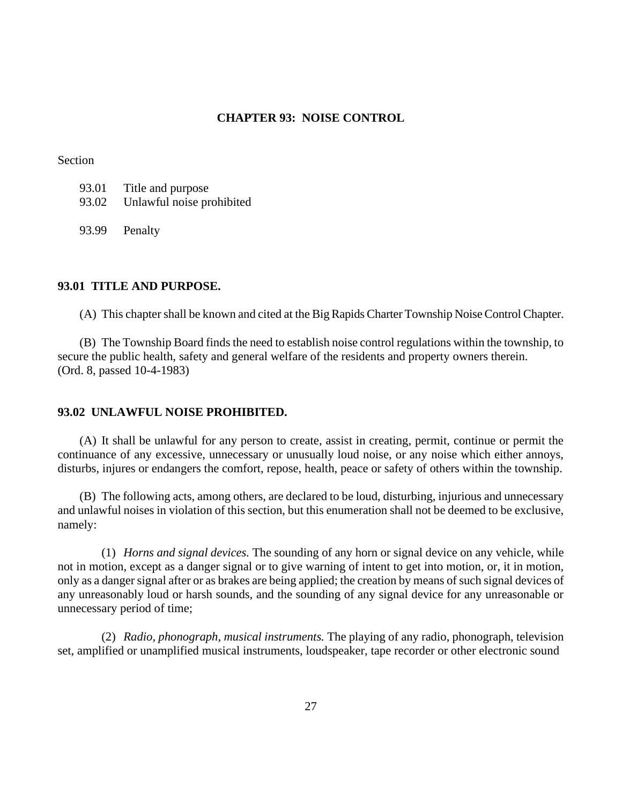## **CHAPTER 93: NOISE CONTROL**

Section

| 93.01 | Title and purpose               |
|-------|---------------------------------|
|       | 93.02 Unlawful noise prohibited |

93.99 Penalty

### **93.01 TITLE AND PURPOSE.**

(A) This chapter shall be known and cited at the Big Rapids Charter Township Noise Control Chapter.

(B) The Township Board finds the need to establish noise control regulations within the township, to secure the public health, safety and general welfare of the residents and property owners therein. (Ord. 8, passed 10-4-1983)

### **93.02 UNLAWFUL NOISE PROHIBITED.**

(A) It shall be unlawful for any person to create, assist in creating, permit, continue or permit the continuance of any excessive, unnecessary or unusually loud noise, or any noise which either annoys, disturbs, injures or endangers the comfort, repose, health, peace or safety of others within the township.

(B) The following acts, among others, are declared to be loud, disturbing, injurious and unnecessary and unlawful noises in violation of this section, but this enumeration shall not be deemed to be exclusive, namely:

(1) *Horns and signal devices.* The sounding of any horn or signal device on any vehicle, while not in motion, except as a danger signal or to give warning of intent to get into motion, or, it in motion, only as a danger signal after or as brakes are being applied; the creation by means of such signal devices of any unreasonably loud or harsh sounds, and the sounding of any signal device for any unreasonable or unnecessary period of time;

(2) *Radio, phonograph, musical instruments.* The playing of any radio, phonograph, television set, amplified or unamplified musical instruments, loudspeaker, tape recorder or other electronic sound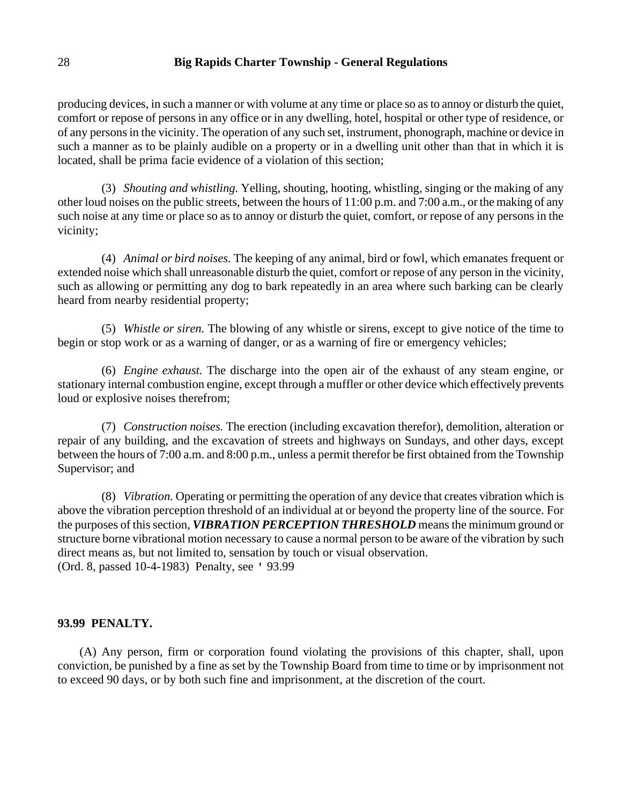producing devices, in such a manner or with volume at any time or place so as to annoy or disturb the quiet, comfort or repose of persons in any office or in any dwelling, hotel, hospital or other type of residence, or of any persons in the vicinity. The operation of any such set, instrument, phonograph, machine or device in such a manner as to be plainly audible on a property or in a dwelling unit other than that in which it is located, shall be prima facie evidence of a violation of this section;

(3) *Shouting and whistling.* Yelling, shouting, hooting, whistling, singing or the making of any other loud noises on the public streets, between the hours of 11:00 p.m. and 7:00 a.m., or the making of any such noise at any time or place so as to annoy or disturb the quiet, comfort, or repose of any persons in the vicinity;

(4) *Animal or bird noises.* The keeping of any animal, bird or fowl, which emanates frequent or extended noise which shall unreasonable disturb the quiet, comfort or repose of any person in the vicinity, such as allowing or permitting any dog to bark repeatedly in an area where such barking can be clearly heard from nearby residential property;

(5) *Whistle or siren.* The blowing of any whistle or sirens, except to give notice of the time to begin or stop work or as a warning of danger, or as a warning of fire or emergency vehicles;

(6) *Engine exhaust.* The discharge into the open air of the exhaust of any steam engine, or stationary internal combustion engine, except through a muffler or other device which effectively prevents loud or explosive noises therefrom;

(7) *Construction noises.* The erection (including excavation therefor), demolition, alteration or repair of any building, and the excavation of streets and highways on Sundays, and other days, except between the hours of 7:00 a.m. and 8:00 p.m., unless a permit therefor be first obtained from the Township Supervisor; and

(8) *Vibration.* Operating or permitting the operation of any device that creates vibration which is above the vibration perception threshold of an individual at or beyond the property line of the source. For the purposes of this section, *VIBRATION PERCEPTION THRESHOLD* means the minimum ground or structure borne vibrational motion necessary to cause a normal person to be aware of the vibration by such direct means as, but not limited to, sensation by touch or visual observation. (Ord. 8, passed 10-4-1983) Penalty, see ' 93.99

#### **93.99 PENALTY.**

(A) Any person, firm or corporation found violating the provisions of this chapter, shall, upon conviction, be punished by a fine as set by the Township Board from time to time or by imprisonment not to exceed 90 days, or by both such fine and imprisonment, at the discretion of the court.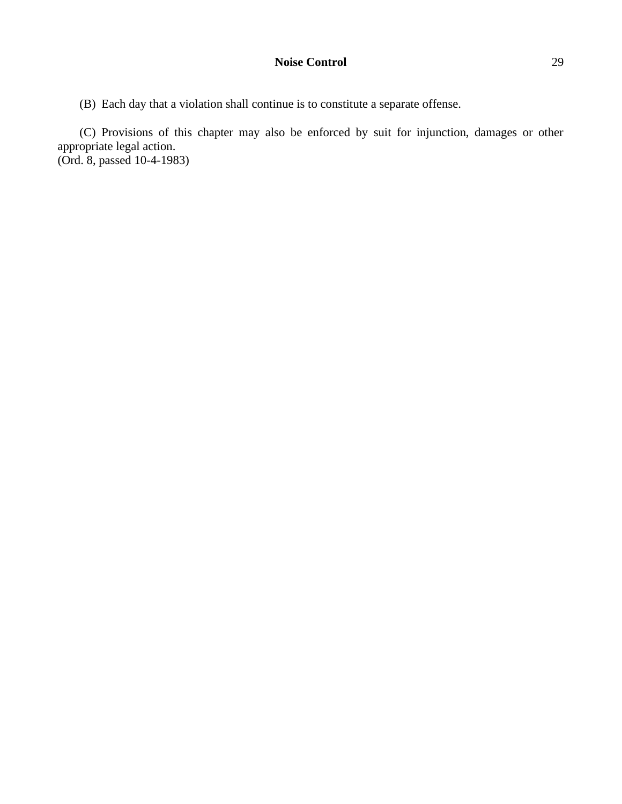(B) Each day that a violation shall continue is to constitute a separate offense.

(C) Provisions of this chapter may also be enforced by suit for injunction, damages or other appropriate legal action. (Ord. 8, passed 10-4-1983)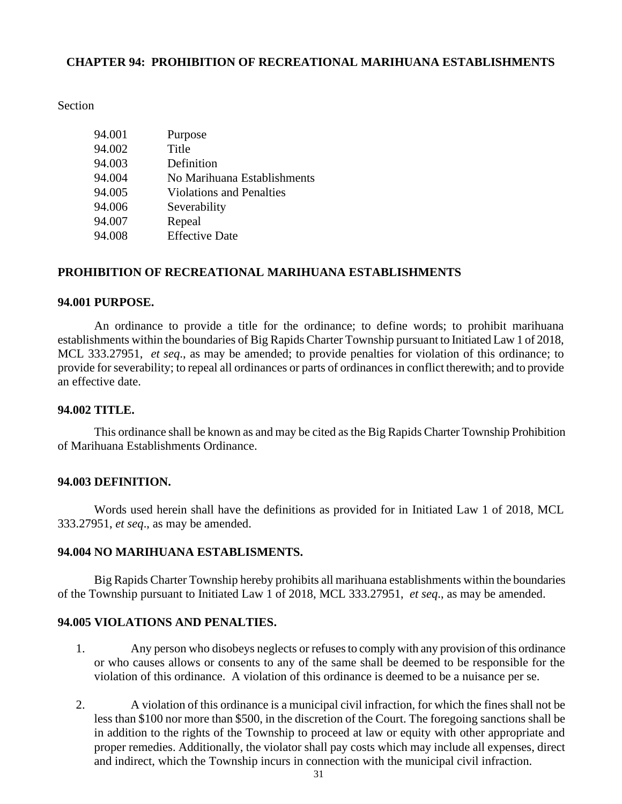## **CHAPTER 94: PROHIBITION OF RECREATIONAL MARIHUANA ESTABLISHMENTS**

### Section

| 94.001 | Purpose                         |
|--------|---------------------------------|
| 94.002 | Title                           |
| 94.003 | Definition                      |
| 94.004 | No Marihuana Establishments     |
| 94.005 | <b>Violations and Penalties</b> |
| 94.006 | Severability                    |
| 94.007 | Repeal                          |
| 94.008 | <b>Effective Date</b>           |

### **PROHIBITION OF RECREATIONAL MARIHUANA ESTABLISHMENTS**

### **94.001 PURPOSE.**

An ordinance to provide a title for the ordinance; to define words; to prohibit marihuana establishments within the boundaries of Big Rapids Charter Township pursuant to Initiated Law 1 of 2018, MCL 333.27951, *et seq*., as may be amended; to provide penalties for violation of this ordinance; to provide for severability; to repeal all ordinances or parts of ordinances in conflict therewith; and to provide an effective date.

## **94.002 TITLE.**

This ordinance shall be known as and may be cited as the Big Rapids Charter Township Prohibition of Marihuana Establishments Ordinance.

### **94.003 DEFINITION.**

Words used herein shall have the definitions as provided for in Initiated Law 1 of 2018, MCL 333.27951, *et seq*., as may be amended.

### **94.004 NO MARIHUANA ESTABLISMENTS.**

Big Rapids Charter Township hereby prohibits all marihuana establishments within the boundaries of the Township pursuant to Initiated Law 1 of 2018, MCL 333.27951, *et seq*., as may be amended.

# **94.005 VIOLATIONS AND PENALTIES.**

- 1. Any person who disobeys neglects or refuses to comply with any provision of this ordinance or who causes allows or consents to any of the same shall be deemed to be responsible for the violation of this ordinance. A violation of this ordinance is deemed to be a nuisance per se.
- 2. A violation of this ordinance is a municipal civil infraction, for which the fines shall not be less than \$100 nor more than \$500, in the discretion of the Court. The foregoing sanctions shall be in addition to the rights of the Township to proceed at law or equity with other appropriate and proper remedies. Additionally, the violator shall pay costs which may include all expenses, direct and indirect, which the Township incurs in connection with the municipal civil infraction.